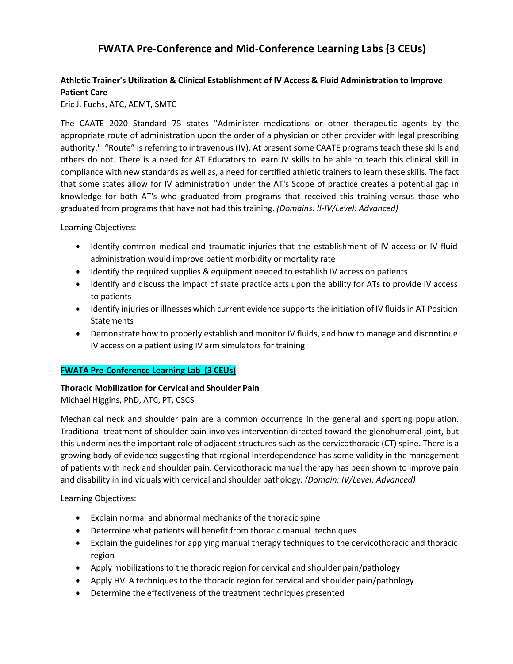# **FWATA Pre-Conference and Mid-Conference Learning Labs (3 CEUs)**

# **Athletic Trainer's Utilization & Clinical Establishment of IV Access & Fluid Administration to Improve Patient Care**

Eric J. Fuchs, ATC, AEMT, SMTC

The CAATE 2020 Standard 75 states "Administer medications or other therapeutic agents by the appropriate route of administration upon the order of a physician or other provider with legal prescribing authority." "Route" is referring to intravenous (IV). At present some CAATE programs teach these skills and others do not. There is a need for AT Educators to learn IV skills to be able to teach this clinical skill in compliance with new standards as well as, a need for certified athletic trainers to learn these skills. The fact that some states allow for IV administration under the AT's Scope of practice creates a potential gap in knowledge for both AT's who graduated from programs that received this training versus those who graduated from programs that have not had this training. *(Domains: II-IV/Level: Advanced)*

Learning Objectives:

- Identify common medical and traumatic injuries that the establishment of IV access or IV fluid administration would improve patient morbidity or mortality rate
- Identify the required supplies & equipment needed to establish IV access on patients
- Identify and discuss the impact of state practice acts upon the ability for ATs to provide IV access to patients
- Identify injuries or illnesses which current evidence supports the initiation of IV fluids in AT Position **Statements**
- Demonstrate how to properly establish and monitor IV fluids, and how to manage and discontinue IV access on a patient using IV arm simulators for training

# **FWATA Pre-Conference Learning Lab (3 CEUs)**

#### **Thoracic Mobilization for Cervical and Shoulder Pain**

Michael Higgins, PhD, ATC, PT, CSCS

Mechanical neck and shoulder pain are a common occurrence in the general and sporting population. Traditional treatment of shoulder pain involves intervention directed toward the glenohumeral joint, but this undermines the important role of adjacent structures such as the cervicothoracic (CT) spine. There is a growing body of evidence suggesting that regional interdependence has some validity in the management of patients with neck and shoulder pain. Cervicothoracic manual therapy has been shown to improve pain and disability in individuals with cervical and shoulder pathology. *(Domain: IV/Level: Advanced)*

- Explain normal and abnormal mechanics of the thoracic spine
- Determine what patients will benefit from thoracic manual techniques
- Explain the guidelines for applying manual therapy techniques to the cervicothoracic and thoracic region
- Apply mobilizations to the thoracic region for cervical and shoulder pain/pathology
- Apply HVLA techniques to the thoracic region for cervical and shoulder pain/pathology
- Determine the effectiveness of the treatment techniques presented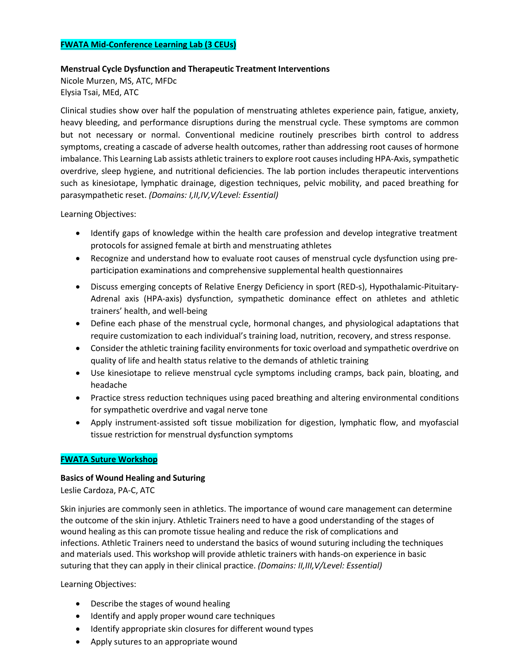#### **FWATA Mid-Conference Learning Lab (3 CEUs)**

#### **Menstrual Cycle Dysfunction and Therapeutic Treatment Interventions**

Nicole Murzen, MS, ATC, MFDc Elysia Tsai, MEd, ATC

Clinical studies show over half the population of menstruating athletes experience pain, fatigue, anxiety, heavy bleeding, and performance disruptions during the menstrual cycle. These symptoms are common but not necessary or normal. Conventional medicine routinely prescribes birth control to address symptoms, creating a cascade of adverse health outcomes, rather than addressing root causes of hormone imbalance. This Learning Lab assists athletic trainers to explore root causes including HPA-Axis, sympathetic overdrive, sleep hygiene, and nutritional deficiencies. The lab portion includes therapeutic interventions such as kinesiotape, lymphatic drainage, digestion techniques, pelvic mobility, and paced breathing for parasympathetic reset. *(Domains: I,II,IV,V/Level: Essential)*

Learning Objectives:

- Identify gaps of knowledge within the health care profession and develop integrative treatment protocols for assigned female at birth and menstruating athletes
- Recognize and understand how to evaluate root causes of menstrual cycle dysfunction using preparticipation examinations and comprehensive supplemental health questionnaires
- Discuss emerging concepts of Relative Energy Deficiency in sport (RED-s), Hypothalamic-Pituitary-Adrenal axis (HPA-axis) dysfunction, sympathetic dominance effect on athletes and athletic trainers' health, and well-being
- Define each phase of the menstrual cycle, hormonal changes, and physiological adaptations that require customization to each individual's training load, nutrition, recovery, and stress response.
- Consider the athletic training facility environments for toxic overload and sympathetic overdrive on quality of life and health status relative to the demands of athletic training
- Use kinesiotape to relieve menstrual cycle symptoms including cramps, back pain, bloating, and headache
- Practice stress reduction techniques using paced breathing and altering environmental conditions for sympathetic overdrive and vagal nerve tone
- Apply instrument-assisted soft tissue mobilization for digestion, lymphatic flow, and myofascial tissue restriction for menstrual dysfunction symptoms

#### **FWATA Suture Workshop**

#### **Basics of Wound Healing and Suturing**

Leslie Cardoza, PA-C, ATC

Skin injuries are commonly seen in athletics. The importance of wound care management can determine the outcome of the skin injury. Athletic Trainers need to have a good understanding of the stages of wound healing as this can promote tissue healing and reduce the risk of complications and infections. Athletic Trainers need to understand the basics of wound suturing including the techniques and materials used. This workshop will provide athletic trainers with hands-on experience in basic suturing that they can apply in their clinical practice. *(Domains: II,III,V/Level: Essential)*

- Describe the stages of wound healing
- Identify and apply proper wound care techniques
- Identify appropriate skin closures for different wound types
- Apply sutures to an appropriate wound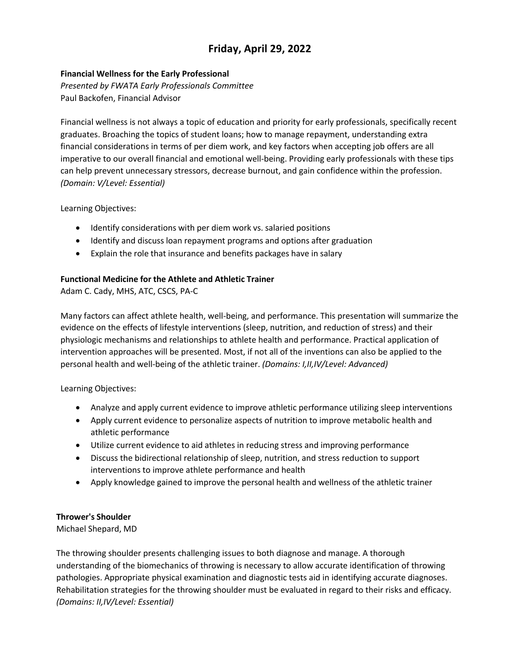# **Friday, April 29, 2022**

### **Financial Wellness for the Early Professional**

*Presented by FWATA Early Professionals Committee* Paul Backofen, Financial Advisor

Financial wellness is not always a topic of education and priority for early professionals, specifically recent graduates. Broaching the topics of student loans; how to manage repayment, understanding extra financial considerations in terms of per diem work, and key factors when accepting job offers are all imperative to our overall financial and emotional well-being. Providing early professionals with these tips can help prevent unnecessary stressors, decrease burnout, and gain confidence within the profession. *(Domain: V/Level: Essential)*

Learning Objectives:

- Identify considerations with per diem work vs. salaried positions
- Identify and discuss loan repayment programs and options after graduation
- Explain the role that insurance and benefits packages have in salary

#### **Functional Medicine for the Athlete and Athletic Trainer**

Adam C. Cady, MHS, ATC, CSCS, PA-C

Many factors can affect athlete health, well-being, and performance. This presentation will summarize the evidence on the effects of lifestyle interventions (sleep, nutrition, and reduction of stress) and their physiologic mechanisms and relationships to athlete health and performance. Practical application of intervention approaches will be presented. Most, if not all of the inventions can also be applied to the personal health and well-being of the athletic trainer. *(Domains: I,II,IV/Level: Advanced)*

Learning Objectives:

- Analyze and apply current evidence to improve athletic performance utilizing sleep interventions
- Apply current evidence to personalize aspects of nutrition to improve metabolic health and athletic performance
- Utilize current evidence to aid athletes in reducing stress and improving performance
- Discuss the bidirectional relationship of sleep, nutrition, and stress reduction to support interventions to improve athlete performance and health
- Apply knowledge gained to improve the personal health and wellness of the athletic trainer

#### **Thrower's Shoulder**

Michael Shepard, MD

The throwing shoulder presents challenging issues to both diagnose and manage. A thorough understanding of the biomechanics of throwing is necessary to allow accurate identification of throwing pathologies. Appropriate physical examination and diagnostic tests aid in identifying accurate diagnoses. Rehabilitation strategies for the throwing shoulder must be evaluated in regard to their risks and efficacy. *(Domains: II,IV/Level: Essential)*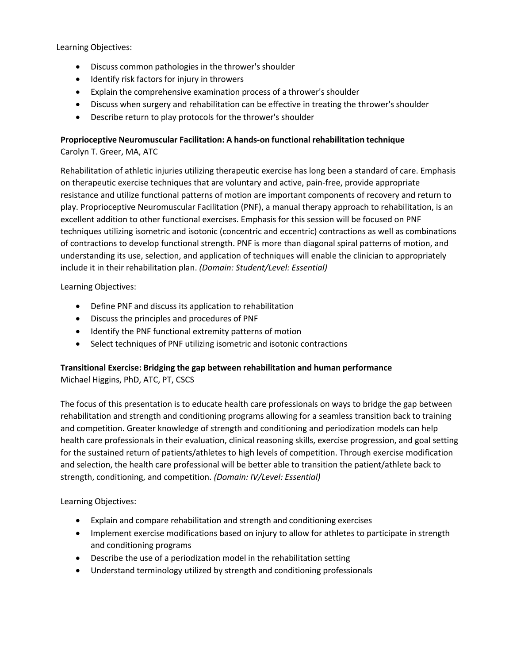- Discuss common pathologies in the thrower's shoulder
- Identify risk factors for injury in throwers
- Explain the comprehensive examination process of a thrower's shoulder
- Discuss when surgery and rehabilitation can be effective in treating the thrower's shoulder
- Describe return to play protocols for the thrower's shoulder

# **Proprioceptive Neuromuscular Facilitation: A hands-on functional rehabilitation technique** Carolyn T. Greer, MA, ATC

Rehabilitation of athletic injuries utilizing therapeutic exercise has long been a standard of care. Emphasis on therapeutic exercise techniques that are voluntary and active, pain-free, provide appropriate resistance and utilize functional patterns of motion are important components of recovery and return to play. Proprioceptive Neuromuscular Facilitation (PNF), a manual therapy approach to rehabilitation, is an excellent addition to other functional exercises. Emphasis for this session will be focused on PNF techniques utilizing isometric and isotonic (concentric and eccentric) contractions as well as combinations of contractions to develop functional strength. PNF is more than diagonal spiral patterns of motion, and understanding its use, selection, and application of techniques will enable the clinician to appropriately include it in their rehabilitation plan. *(Domain: Student/Level: Essential)*

Learning Objectives:

- Define PNF and discuss its application to rehabilitation
- Discuss the principles and procedures of PNF
- Identify the PNF functional extremity patterns of motion
- Select techniques of PNF utilizing isometric and isotonic contractions

# **Transitional Exercise: Bridging the gap between rehabilitation and human performance**

Michael Higgins, PhD, ATC, PT, CSCS

The focus of this presentation is to educate health care professionals on ways to bridge the gap between rehabilitation and strength and conditioning programs allowing for a seamless transition back to training and competition. Greater knowledge of strength and conditioning and periodization models can help health care professionals in their evaluation, clinical reasoning skills, exercise progression, and goal setting for the sustained return of patients/athletes to high levels of competition. Through exercise modification and selection, the health care professional will be better able to transition the patient/athlete back to strength, conditioning, and competition. *(Domain: IV/Level: Essential)*

- Explain and compare rehabilitation and strength and conditioning exercises
- Implement exercise modifications based on injury to allow for athletes to participate in strength and conditioning programs
- Describe the use of a periodization model in the rehabilitation setting
- Understand terminology utilized by strength and conditioning professionals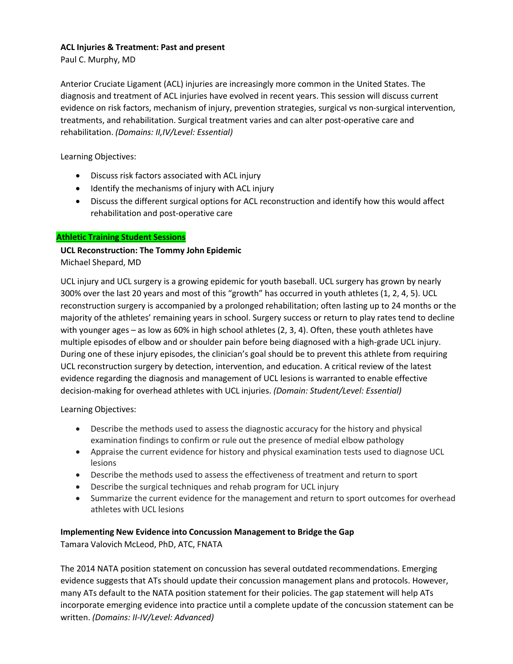#### **ACL Injuries & Treatment: Past and present**

Paul C. Murphy, MD

Anterior Cruciate Ligament (ACL) injuries are increasingly more common in the United States. The diagnosis and treatment of ACL injuries have evolved in recent years. This session will discuss current evidence on risk factors, mechanism of injury, prevention strategies, surgical vs non-surgical intervention, treatments, and rehabilitation. Surgical treatment varies and can alter post-operative care and rehabilitation. *(Domains: II,IV/Level: Essential)*

Learning Objectives:

- Discuss risk factors associated with ACL injury
- Identify the mechanisms of injury with ACL injury
- Discuss the different surgical options for ACL reconstruction and identify how this would affect rehabilitation and post-operative care

# **Athletic Training Student Sessions**

**UCL Reconstruction: The Tommy John Epidemic** Michael Shepard, MD

UCL injury and UCL surgery is a growing epidemic for youth baseball. UCL surgery has grown by nearly 300% over the last 20 years and most of this "growth" has occurred in youth athletes (1, 2, 4, 5). UCL reconstruction surgery is accompanied by a prolonged rehabilitation; often lasting up to 24 months or the majority of the athletes' remaining years in school. Surgery success or return to play rates tend to decline with younger ages – as low as 60% in high school athletes (2, 3, 4). Often, these youth athletes have multiple episodes of elbow and or shoulder pain before being diagnosed with a high-grade UCL injury. During one of these injury episodes, the clinician's goal should be to prevent this athlete from requiring UCL reconstruction surgery by detection, intervention, and education. A critical review of the latest evidence regarding the diagnosis and management of UCL lesions is warranted to enable effective decision-making for overhead athletes with UCL injuries. *(Domain: Student/Level: Essential)*

Learning Objectives:

- Describe the methods used to assess the diagnostic accuracy for the history and physical examination findings to confirm or rule out the presence of medial elbow pathology
- Appraise the current evidence for history and physical examination tests used to diagnose UCL lesions
- Describe the methods used to assess the effectiveness of treatment and return to sport
- Describe the surgical techniques and rehab program for UCL injury
- Summarize the current evidence for the management and return to sport outcomes for overhead athletes with UCL lesions

# **Implementing New Evidence into Concussion Management to Bridge the Gap**

Tamara Valovich McLeod, PhD, ATC, FNATA

The 2014 NATA position statement on concussion has several outdated recommendations. Emerging evidence suggests that ATs should update their concussion management plans and protocols. However, many ATs default to the NATA position statement for their policies. The gap statement will help ATs incorporate emerging evidence into practice until a complete update of the concussion statement can be written. *(Domains: II-IV/Level: Advanced)*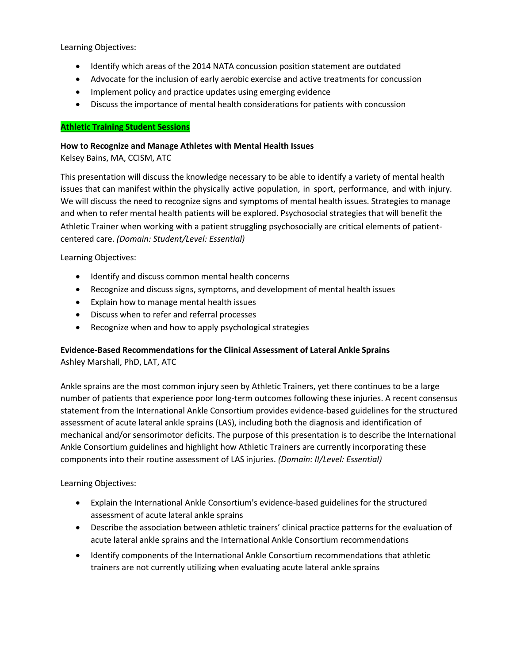- Identify which areas of the 2014 NATA concussion position statement are outdated
- Advocate for the inclusion of early aerobic exercise and active treatments for concussion
- Implement policy and practice updates using emerging evidence
- Discuss the importance of mental health considerations for patients with concussion

#### **Athletic Training Student Sessions**

#### **How to Recognize and Manage Athletes with Mental Health Issues**

Kelsey Bains, MA, CCISM, ATC

This presentation will discuss the knowledge necessary to be able to identify a variety of mental health issues that can manifest within the physically active population, in sport, performance, and with injury. We will discuss the need to recognize signs and symptoms of mental health issues. Strategies to manage and when to refer mental health patients will be explored. Psychosocial strategies that will benefit the Athletic Trainer when working with a patient struggling psychosocially are critical elements of patientcentered care. *(Domain: Student/Level: Essential)*

Learning Objectives:

- Identify and discuss common mental health concerns
- Recognize and discuss signs, symptoms, and development of mental health issues
- Explain how to manage mental health issues
- Discuss when to refer and referral processes
- Recognize when and how to apply psychological strategies

# **Evidence-Based Recommendations for the Clinical Assessment of Lateral Ankle Sprains**

Ashley Marshall, PhD, LAT, ATC

Ankle sprains are the most common injury seen by Athletic Trainers, yet there continues to be a large number of patients that experience poor long-term outcomes following these injuries. A recent consensus statement from the International Ankle Consortium provides evidence-based guidelines for the structured assessment of acute lateral ankle sprains (LAS), including both the diagnosis and identification of mechanical and/or sensorimotor deficits. The purpose of this presentation is to describe the International Ankle Consortium guidelines and highlight how Athletic Trainers are currently incorporating these components into their routine assessment of LAS injuries. *(Domain: II/Level: Essential)*

- Explain the International Ankle Consortium's evidence-based guidelines for the structured assessment of acute lateral ankle sprains
- Describe the association between athletic trainers' clinical practice patterns for the evaluation of acute lateral ankle sprains and the International Ankle Consortium recommendations
- Identify components of the International Ankle Consortium recommendations that athletic trainers are not currently utilizing when evaluating acute lateral ankle sprains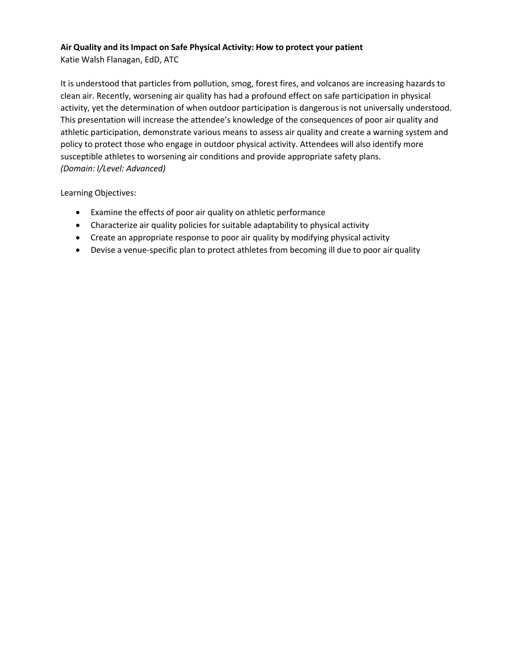# **Air Quality and its Impact on Safe Physical Activity: How to protect your patient**

Katie Walsh Flanagan, EdD, ATC

It is understood that particles from pollution, smog, forest fires, and volcanos are increasing hazards to clean air. Recently, worsening air quality has had a profound effect on safe participation in physical activity, yet the determination of when outdoor participation is dangerous is not universally understood. This presentation will increase the attendee's knowledge of the consequences of poor air quality and athletic participation, demonstrate various means to assess air quality and create a warning system and policy to protect those who engage in outdoor physical activity. Attendees will also identify more susceptible athletes to worsening air conditions and provide appropriate safety plans. *(Domain: I/Level: Advanced)*

- Examine the effects of poor air quality on athletic performance
- Characterize air quality policies for suitable adaptability to physical activity
- Create an appropriate response to poor air quality by modifying physical activity
- Devise a venue-specific plan to protect athletes from becoming ill due to poor air quality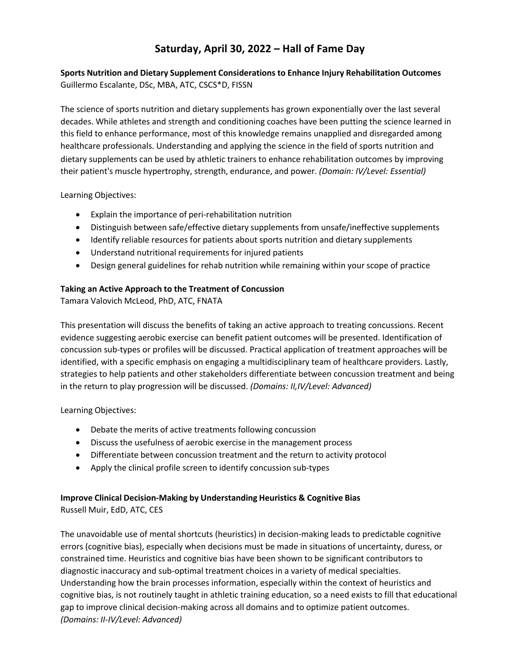# **Saturday, April 30, 2022 – Hall of Fame Day**

**Sports Nutrition and Dietary Supplement Considerations to Enhance Injury Rehabilitation Outcomes** Guillermo Escalante, DSc, MBA, ATC, CSCS\*D, FISSN

The science of sports nutrition and dietary supplements has grown exponentially over the last several decades. While athletes and strength and conditioning coaches have been putting the science learned in this field to enhance performance, most of this knowledge remains unapplied and disregarded among healthcare professionals. Understanding and applying the science in the field of sports nutrition and dietary supplements can be used by athletic trainers to enhance rehabilitation outcomes by improving their patient's muscle hypertrophy, strength, endurance, and power. *(Domain: IV/Level: Essential)*

Learning Objectives:

- Explain the importance of peri-rehabilitation nutrition
- Distinguish between safe/effective dietary supplements from unsafe/ineffective supplements
- Identify reliable resources for patients about sports nutrition and dietary supplements
- Understand nutritional requirements for injured patients
- Design general guidelines for rehab nutrition while remaining within your scope of practice

# **Taking an Active Approach to the Treatment of Concussion**

Tamara Valovich McLeod, PhD, ATC, FNATA

This presentation will discuss the benefits of taking an active approach to treating concussions. Recent evidence suggesting aerobic exercise can benefit patient outcomes will be presented. Identification of concussion sub-types or profiles will be discussed. Practical application of treatment approaches will be identified, with a specific emphasis on engaging a multidisciplinary team of healthcare providers. Lastly, strategies to help patients and other stakeholders differentiate between concussion treatment and being in the return to play progression will be discussed. *(Domains: II,IV/Level: Advanced)*

Learning Objectives:

- Debate the merits of active treatments following concussion
- Discuss the usefulness of aerobic exercise in the management process
- Differentiate between concussion treatment and the return to activity protocol
- Apply the clinical profile screen to identify concussion sub-types

# **Improve Clinical Decision-Making by Understanding Heuristics & Cognitive Bias**

Russell Muir, EdD, ATC, CES

The unavoidable use of mental shortcuts (heuristics) in decision-making leads to predictable cognitive errors (cognitive bias), especially when decisions must be made in situations of uncertainty, duress, or constrained time. Heuristics and cognitive bias have been shown to be significant contributors to diagnostic inaccuracy and sub-optimal treatment choices in a variety of medical specialties. Understanding how the brain processes information, especially within the context of heuristics and cognitive bias, is not routinely taught in athletic training education, so a need exists to fill that educational gap to improve clinical decision-making across all domains and to optimize patient outcomes. *(Domains: II-IV/Level: Advanced)*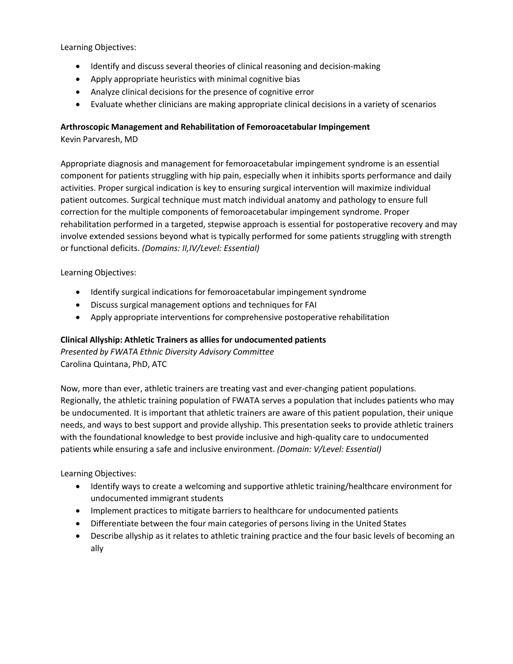- Identify and discuss several theories of clinical reasoning and decision-making
- Apply appropriate heuristics with minimal cognitive bias
- Analyze clinical decisions for the presence of cognitive error
- Evaluate whether clinicians are making appropriate clinical decisions in a variety of scenarios

#### **Arthroscopic Management and Rehabilitation of Femoroacetabular Impingement**

Kevin Parvaresh, MD

Appropriate diagnosis and management for femoroacetabular impingement syndrome is an essential component for patients struggling with hip pain, especially when it inhibits sports performance and daily activities. Proper surgical indication is key to ensuring surgical intervention will maximize individual patient outcomes. Surgical technique must match individual anatomy and pathology to ensure full correction for the multiple components of femoroacetabular impingement syndrome. Proper rehabilitation performed in a targeted, stepwise approach is essential for postoperative recovery and may involve extended sessions beyond what is typically performed for some patients struggling with strength or functional deficits. *(Domains: II,IV/Level: Essential)*

Learning Objectives:

- Identify surgical indications for femoroacetabular impingement syndrome
- Discuss surgical management options and techniques for FAI
- Apply appropriate interventions for comprehensive postoperative rehabilitation

#### **Clinical Allyship: Athletic Trainers as allies for undocumented patients**

*Presented by FWATA Ethnic Diversity Advisory Committee* Carolina Quintana, PhD, ATC

Now, more than ever, athletic trainers are treating vast and ever-changing patient populations. Regionally, the athletic training population of FWATA serves a population that includes patients who may be undocumented. It is important that athletic trainers are aware of this patient population, their unique needs, and ways to best support and provide allyship. This presentation seeks to provide athletic trainers with the foundational knowledge to best provide inclusive and high-quality care to undocumented patients while ensuring a safe and inclusive environment. *(Domain: V/Level: Essential)*

- Identify ways to create a welcoming and supportive athletic training/healthcare environment for undocumented immigrant students
- Implement practices to mitigate barriers to healthcare for undocumented patients
- Differentiate between the four main categories of persons living in the United States
- Describe allyship as it relates to athletic training practice and the four basic levels of becoming an ally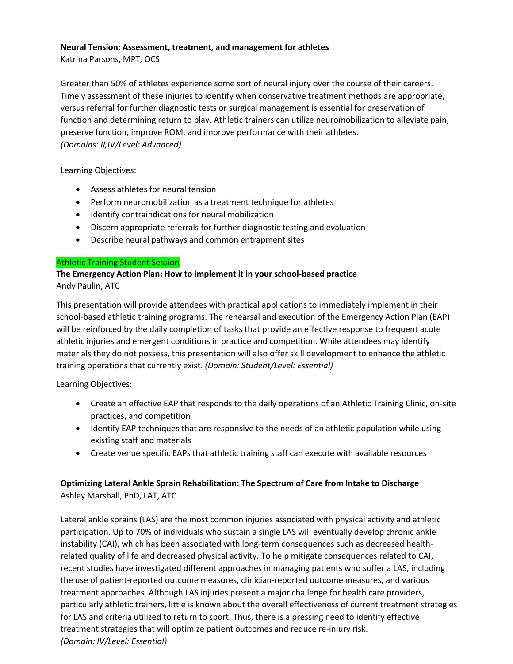#### **Neural Tension: Assessment, treatment, and management for athletes**

Katrina Parsons, MPT, OCS

Greater than 50% of athletes experience some sort of neural injury over the course of their careers. Timely assessment of these injuries to identify when conservative treatment methods are appropriate, versus referral for further diagnostic tests or surgical management is essential for preservation of function and determining return to play. Athletic trainers can utilize neuromobilization to alleviate pain, preserve function, improve ROM, and improve performance with their athletes. *(Domains: II,IV/Level: Advanced)*

Learning Objectives:

- Assess athletes for neural tension
- Perform neuromobilization as a treatment technique for athletes
- Identify contraindications for neural mobilization
- Discern appropriate referrals for further diagnostic testing and evaluation
- Describe neural pathways and common entrapment sites

#### Athletic Training Student Session

# **The Emergency Action Plan: How to implement it in your school-based practice** Andy Paulin, ATC

This presentation will provide attendees with practical applications to immediately implement in their school-based athletic training programs. The rehearsal and execution of the Emergency Action Plan (EAP) will be reinforced by the daily completion of tasks that provide an effective response to frequent acute athletic injuries and emergent conditions in practice and competition. While attendees may identify materials they do not possess, this presentation will also offer skill development to enhance the athletic training operations that currently exist. *(Domain: Student/Level: Essential)*

Learning Objectives:

- Create an effective EAP that responds to the daily operations of an Athletic Training Clinic, on-site practices, and competition
- Identify EAP techniques that are responsive to the needs of an athletic population while using existing staff and materials
- Create venue specific EAPs that athletic training staff can execute with available resources

# **Optimizing Lateral Ankle Sprain Rehabilitation: The Spectrum of Care from Intake to Discharge** Ashley Marshall, PhD, LAT, ATC

Lateral ankle sprains (LAS) are the most common injuries associated with physical activity and athletic participation. Up to 70% of individuals who sustain a single LAS will eventually develop chronic ankle instability (CAI), which has been associated with long-term consequences such as decreased healthrelated quality of life and decreased physical activity. To help mitigate consequences related to CAI, recent studies have investigated different approaches in managing patients who suffer a LAS, including the use of patient-reported outcome measures, clinician-reported outcome measures, and various treatment approaches. Although LAS injuries present a major challenge for health care providers, particularly athletic trainers, little is known about the overall effectiveness of current treatment strategies for LAS and criteria utilized to return to sport. Thus, there is a pressing need to identify effective treatment strategies that will optimize patient outcomes and reduce re-injury risk. *(Domain: IV/Level: Essential)*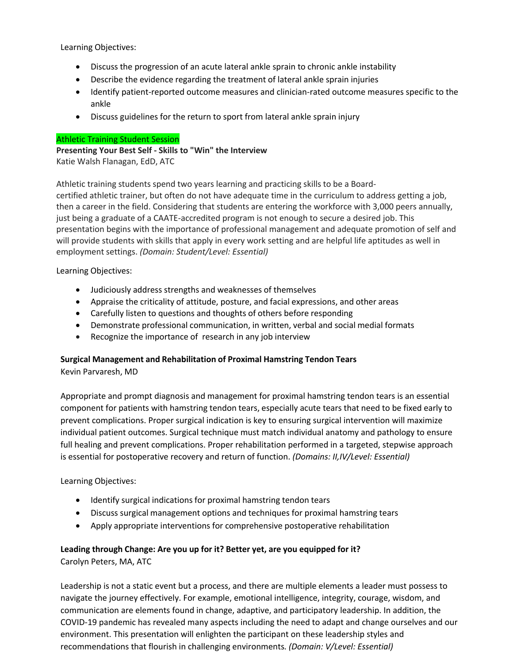- Discuss the progression of an acute lateral ankle sprain to chronic ankle instability
- Describe the evidence regarding the treatment of lateral ankle sprain injuries
- Identify patient-reported outcome measures and clinician-rated outcome measures specific to the ankle
- Discuss guidelines for the return to sport from lateral ankle sprain injury

#### Athletic Training Student Session

**Presenting Your Best Self - Skills to "Win" the Interview** Katie Walsh Flanagan, EdD, ATC

Athletic training students spend two years learning and practicing skills to be a Boardcertified athletic trainer, but often do not have adequate time in the curriculum to address getting a job, then a career in the field. Considering that students are entering the workforce with 3,000 peers annually, just being a graduate of a CAATE-accredited program is not enough to secure a desired job. This presentation begins with the importance of professional management and adequate promotion of self and will provide students with skills that apply in every work setting and are helpful life aptitudes as well in employment settings. *(Domain: Student/Level: Essential)*

Learning Objectives:

- Judiciously address strengths and weaknesses of themselves
- Appraise the criticality of attitude, posture, and facial expressions, and other areas
- Carefully listen to questions and thoughts of others before responding
- Demonstrate professional communication, in written, verbal and social medial formats
- Recognize the importance of research in any job interview

# **Surgical Management and Rehabilitation of Proximal Hamstring Tendon Tears**

Kevin Parvaresh, MD

Appropriate and prompt diagnosis and management for proximal hamstring tendon tears is an essential component for patients with hamstring tendon tears, especially acute tears that need to be fixed early to prevent complications. Proper surgical indication is key to ensuring surgical intervention will maximize individual patient outcomes. Surgical technique must match individual anatomy and pathology to ensure full healing and prevent complications. Proper rehabilitation performed in a targeted, stepwise approach is essential for postoperative recovery and return of function. *(Domains: II,IV/Level: Essential)*

Learning Objectives:

- Identify surgical indications for proximal hamstring tendon tears
- Discuss surgical management options and techniques for proximal hamstring tears
- Apply appropriate interventions for comprehensive postoperative rehabilitation

# **Leading through Change: Are you up for it? Better yet, are you equipped for it?**

Carolyn Peters, MA, ATC

Leadership is not a static event but a process, and there are multiple elements a leader must possess to navigate the journey effectively. For example, emotional intelligence, integrity, courage, wisdom, and communication are elements found in change, adaptive, and participatory leadership. In addition, the COVID-19 pandemic has revealed many aspects including the need to adapt and change ourselves and our environment. This presentation will enlighten the participant on these leadership styles and recommendations that flourish in challenging environments*. (Domain: V/Level: Essential)*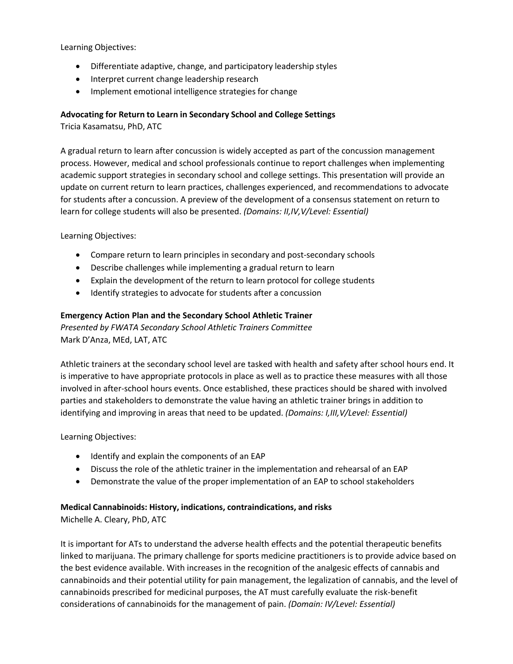- Differentiate adaptive, change, and participatory leadership styles
- Interpret current change leadership research
- Implement emotional intelligence strategies for change

### **Advocating for Return to Learn in Secondary School and College Settings**

Tricia Kasamatsu, PhD, ATC

A gradual return to learn after concussion is widely accepted as part of the concussion management process. However, medical and school professionals continue to report challenges when implementing academic support strategies in secondary school and college settings. This presentation will provide an update on current return to learn practices, challenges experienced, and recommendations to advocate for students after a concussion. A preview of the development of a consensus statement on return to learn for college students will also be presented. *(Domains: II,IV,V/Level: Essential)*

Learning Objectives:

- Compare return to learn principles in secondary and post-secondary schools
- Describe challenges while implementing a gradual return to learn
- Explain the development of the return to learn protocol for college students
- Identify strategies to advocate for students after a concussion

#### **Emergency Action Plan and the Secondary School Athletic Trainer**

*Presented by FWATA Secondary School Athletic Trainers Committee* Mark D'Anza, MEd, LAT, ATC

Athletic trainers at the secondary school level are tasked with health and safety after school hours end. It is imperative to have appropriate protocols in place as well as to practice these measures with all those involved in after-school hours events. Once established, these practices should be shared with involved parties and stakeholders to demonstrate the value having an athletic trainer brings in addition to identifying and improving in areas that need to be updated. *(Domains: I,III,V/Level: Essential)*

Learning Objectives:

- Identify and explain the components of an EAP
- Discuss the role of the athletic trainer in the implementation and rehearsal of an EAP
- Demonstrate the value of the proper implementation of an EAP to school stakeholders

# **Medical Cannabinoids: History, indications, contraindications, and risks**

Michelle A. Cleary, PhD, ATC

It is important for ATs to understand the adverse health effects and the potential therapeutic benefits linked to marijuana. The primary challenge for sports medicine practitioners is to provide advice based on the best evidence available. With increases in the recognition of the analgesic effects of cannabis and cannabinoids and their potential utility for pain management, the legalization of cannabis, and the level of cannabinoids prescribed for medicinal purposes, the AT must carefully evaluate the risk-benefit considerations of cannabinoids for the management of pain. *(Domain: IV/Level: Essential)*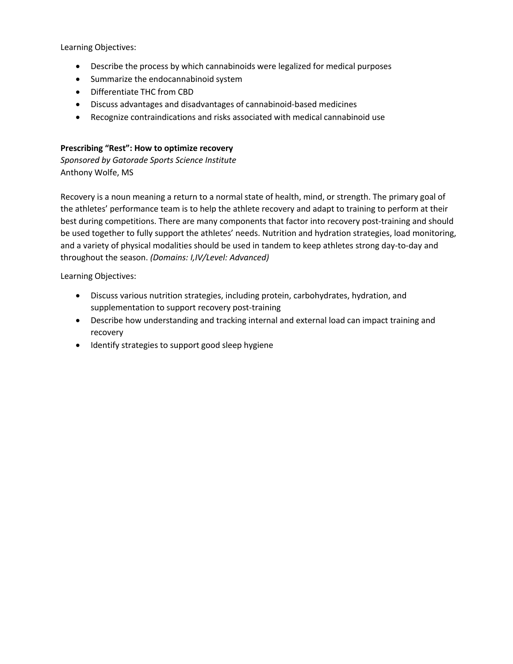- Describe the process by which cannabinoids were legalized for medical purposes
- Summarize the endocannabinoid system
- Differentiate THC from CBD
- Discuss advantages and disadvantages of cannabinoid-based medicines
- Recognize contraindications and risks associated with medical cannabinoid use

### **Prescribing "Rest": How to optimize recovery**

*Sponsored by Gatorade Sports Science Institute* Anthony Wolfe, MS

Recovery is a noun meaning a return to a normal state of health, mind, or strength. The primary goal of the athletes' performance team is to help the athlete recovery and adapt to training to perform at their best during competitions. There are many components that factor into recovery post-training and should be used together to fully support the athletes' needs. Nutrition and hydration strategies, load monitoring, and a variety of physical modalities should be used in tandem to keep athletes strong day-to-day and throughout the season. *(Domains: I,IV/Level: Advanced)*

- Discuss various nutrition strategies, including protein, carbohydrates, hydration, and supplementation to support recovery post-training
- Describe how understanding and tracking internal and external load can impact training and recovery
- Identify strategies to support good sleep hygiene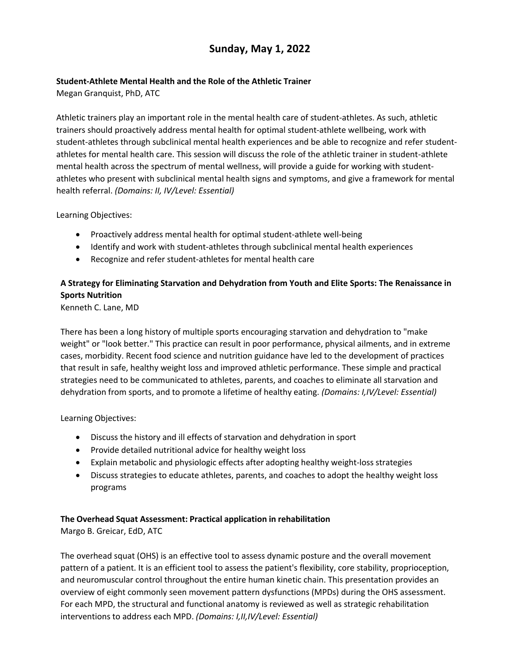# **Sunday, May 1, 2022**

# **Student-Athlete Mental Health and the Role of the Athletic Trainer**

Megan Granquist, PhD, ATC

Athletic trainers play an important role in the mental health care of student-athletes. As such, athletic trainers should proactively address mental health for optimal student-athlete wellbeing, work with student-athletes through subclinical mental health experiences and be able to recognize and refer studentathletes for mental health care. This session will discuss the role of the athletic trainer in student-athlete mental health across the spectrum of mental wellness, will provide a guide for working with studentathletes who present with subclinical mental health signs and symptoms, and give a framework for mental health referral. *(Domains: II, IV/Level: Essential)*

Learning Objectives:

- Proactively address mental health for optimal student-athlete well-being
- Identify and work with student-athletes through subclinical mental health experiences
- Recognize and refer student-athletes for mental health care

# **A Strategy for Eliminating Starvation and Dehydration from Youth and Elite Sports: The Renaissance in Sports Nutrition**

Kenneth C. Lane, MD

There has been a long history of multiple sports encouraging starvation and dehydration to "make weight" or "look better." This practice can result in poor performance, physical ailments, and in extreme cases, morbidity. Recent food science and nutrition guidance have led to the development of practices that result in safe, healthy weight loss and improved athletic performance. These simple and practical strategies need to be communicated to athletes, parents, and coaches to eliminate all starvation and dehydration from sports, and to promote a lifetime of healthy eating. *(Domains: I,IV/Level: Essential)*

Learning Objectives:

- Discuss the history and ill effects of starvation and dehydration in sport
- Provide detailed nutritional advice for healthy weight loss
- Explain metabolic and physiologic effects after adopting healthy weight-loss strategies
- Discuss strategies to educate athletes, parents, and coaches to adopt the healthy weight loss programs

#### **The Overhead Squat Assessment: Practical application in rehabilitation**

Margo B. Greicar, EdD, ATC

The overhead squat (OHS) is an effective tool to assess dynamic posture and the overall movement pattern of a patient. It is an efficient tool to assess the patient's flexibility, core stability, proprioception, and neuromuscular control throughout the entire human kinetic chain. This presentation provides an overview of eight commonly seen movement pattern dysfunctions (MPDs) during the OHS assessment. For each MPD, the structural and functional anatomy is reviewed as well as strategic rehabilitation interventions to address each MPD. *(Domains: I,II,IV/Level: Essential)*